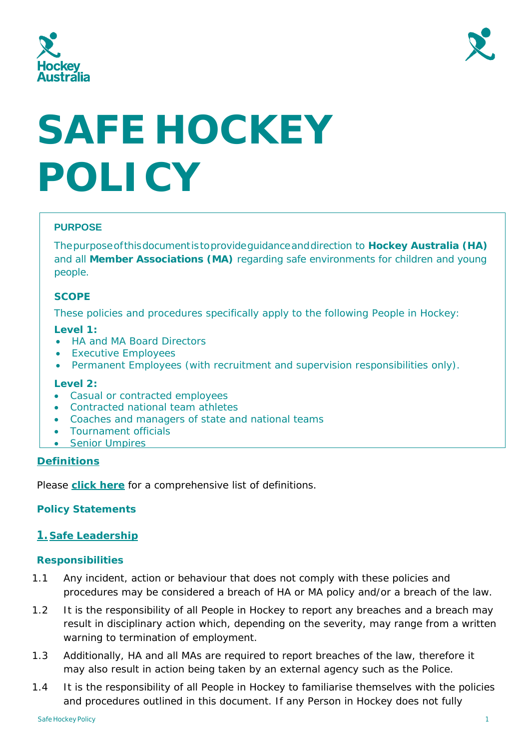



# **SAFE HOCKEY POLICY**

# **PURPOSE**

Thepurposeofthisdocumentistoprovideguidanceanddirection to **Hockey Australia (HA)** and all **Member Associations (MA)** regarding safe environments for children and young people.

## **SCOPE**

These policies and procedures specifically apply to the following People in Hockey:

#### **Level 1:**

- HA and MA Board Directors
- Executive Employees
- Permanent Employees (with recruitment and supervision responsibilities only).

## **Level 2:**

- Casual or contracted employees
- Contracted national team athletes
- Coaches and managers of state and national teams
- Tournament officials
- Senior Umpires

## **Definitions**

Please **[click here](#page-13-0)** for a comprehensive list of definitions.

## **Policy Statements**

## **1. Safe Leadership**

## **Responsibilities**

- 1.1 Any incident, action or behaviour that does not comply with these policies and procedures may be considered a breach of HA or MA policy and/or a breach of the law.
- 1.2 It is the responsibility of all People in Hockey to report any breaches and a breach may result in disciplinary action which, depending on the severity, may range from a written warning to termination of employment.
- 1.3 Additionally, HA and all MAs are required to report breaches of the law, therefore it may also result in action being taken by an external agency such as the Police.
- 1.4 It is the responsibility of all People in Hockey to familiarise themselves with the policies and procedures outlined in this document. If any Person in Hockey does not fully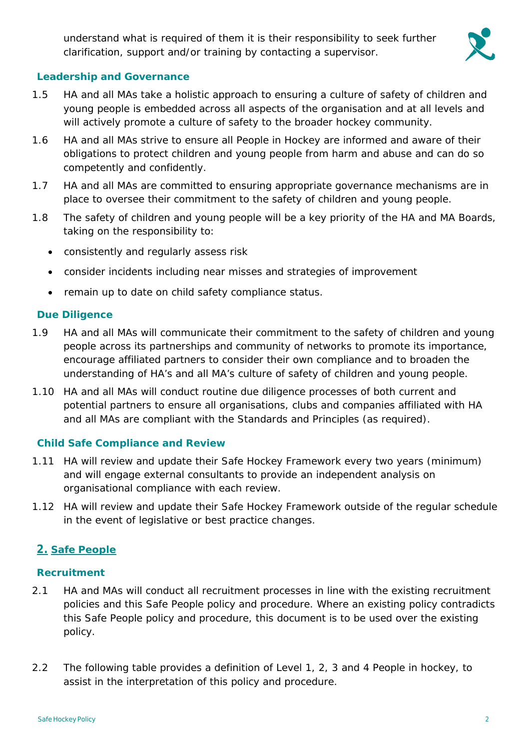understand what is required of them it is their responsibility to seek further clarification, support and/or training by contacting a supervisor.



#### **Leadership and Governance**

- 1.5 HA and all MAs take a holistic approach to ensuring a culture of safety of children and young people is embedded across all aspects of the organisation and at all levels and will actively promote a culture of safety to the broader hockey community.
- 1.6 HA and all MAs strive to ensure all People in Hockey are informed and aware of their obligations to protect children and young people from harm and abuse and can do so competently and confidently.
- 1.7 HA and all MAs are committed to ensuring appropriate governance mechanisms are in place to oversee their commitment to the safety of children and young people.
- 1.8 The safety of children and young people will be a key priority of the HA and MA Boards, taking on the responsibility to:
	- consistently and regularly assess risk
	- consider incidents including near misses and strategies of improvement
	- remain up to date on child safety compliance status.

## **Due Diligence**

- 1.9 HA and all MAs will communicate their commitment to the safety of children and young people across its partnerships and community of networks to promote its importance, encourage affiliated partners to consider their own compliance and to broaden the understanding of HA's and all MA's culture of safety of children and young people.
- 1.10 HA and all MAs will conduct routine due diligence processes of both current and potential partners to ensure all organisations, clubs and companies affiliated with HA and all MAs are compliant with the Standards and Principles (as required).

## **Child Safe Compliance and Review**

- 1.11 HA will review and update their Safe Hockey Framework every two years (minimum) and will engage external consultants to provide an independent analysis on organisational compliance with each review.
- 1.12 HA will review and update their Safe Hockey Framework outside of the regular schedule in the event of legislative or best practice changes.

# **2. Safe People**

## **Recruitment**

- 2.1 HA and MAs will conduct all recruitment processes in line with the existing recruitment policies and this Safe People policy and procedure. Where an existing policy contradicts this Safe People policy and procedure, this document is to be used over the existing policy.
- 2.2 The following table provides a definition of Level 1, 2, 3 and 4 People in hockey, to assist in the interpretation of this policy and procedure.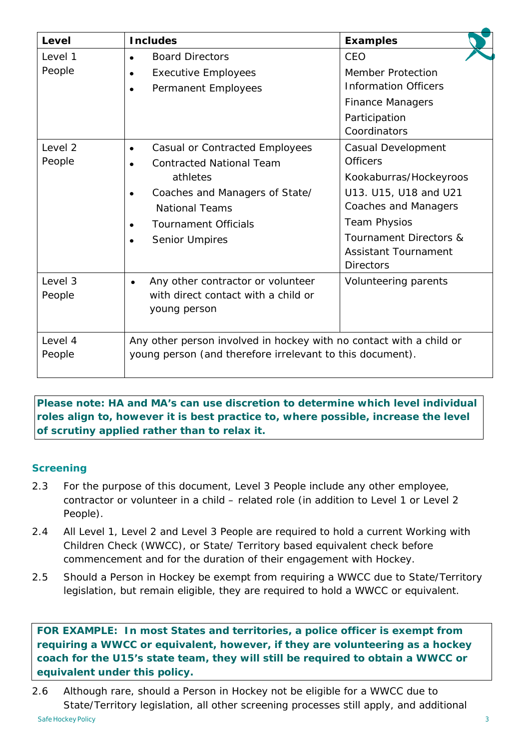| Level   | <b>Includes</b>                                                     | <b>Examples</b>                   |
|---------|---------------------------------------------------------------------|-----------------------------------|
| Level 1 | <b>Board Directors</b><br>$\bullet$                                 | CEO                               |
| People  | <b>Executive Employees</b><br>$\bullet$                             | <b>Member Protection</b>          |
|         | Permanent Employees<br>$\bullet$                                    | <b>Information Officers</b>       |
|         |                                                                     | <b>Finance Managers</b>           |
|         |                                                                     | Participation                     |
|         |                                                                     | Coordinators                      |
| Level 2 | <b>Casual or Contracted Employees</b><br>$\bullet$                  | Casual Development                |
| People  | <b>Contracted National Team</b><br>$\bullet$                        | <b>Officers</b>                   |
|         | athletes                                                            | Kookaburras/Hockeyroos            |
|         | Coaches and Managers of State/<br>$\bullet$                         | U13. U15, U18 and U21             |
|         | <b>National Teams</b>                                               | Coaches and Managers              |
|         | <b>Tournament Officials</b>                                         | <b>Team Physios</b>               |
|         | <b>Senior Umpires</b><br>$\bullet$                                  | <b>Tournament Directors &amp;</b> |
|         |                                                                     | <b>Assistant Tournament</b>       |
|         |                                                                     | <b>Directors</b>                  |
| Level 3 | Any other contractor or volunteer<br>$\bullet$                      | Volunteering parents              |
| People  | with direct contact with a child or                                 |                                   |
|         | young person                                                        |                                   |
|         |                                                                     |                                   |
| Level 4 | Any other person involved in hockey with no contact with a child or |                                   |
| People  | young person (and therefore irrelevant to this document).           |                                   |
|         |                                                                     |                                   |

*Please note: HA and MA's can use discretion to determine which level individual roles align to, however it is best practice to, where possible, increase the level of scrutiny applied rather than to relax it.* 

# **Screening**

- 2.3 For the purpose of this document, Level 3 People include any other employee, contractor or volunteer in a child – related role (in addition to Level 1 or Level 2 People).
- 2.4 All Level 1, Level 2 and Level 3 People are required to hold a current Working with Children Check (WWCC), or State/ Territory based equivalent check before commencement and for the duration of their engagement with Hockey.
- 2.5 Should a Person in Hockey be exempt from requiring a WWCC due to State/Territory legislation, but remain eligible, they are required to hold a WWCC or equivalent.

*FOR EXAMPLE: In most States and territories, a police officer is exempt from requiring a WWCC or equivalent, however, if they are volunteering as a hockey coach for the U15's state team, they will still be required to obtain a WWCC or equivalent under this policy***.** 

2.6 Although rare, should a Person in Hockey not be eligible for a WWCC due to State/Territory legislation, all other screening processes still apply, and additional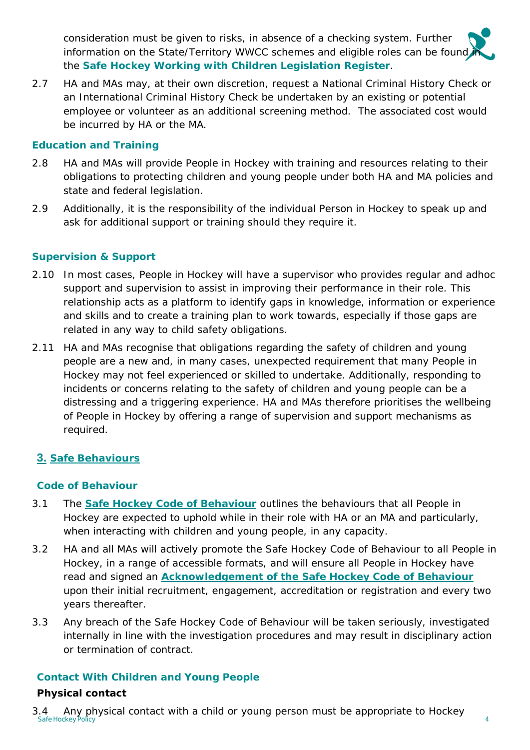consideration must be given to risks, in absence of a checking system. Further information on the State/Territory WWCC schemes and eligible roles can be found the **Safe Hockey Working with Children Legislation Register**.

2.7 HA and MAs may, at their own discretion, request a National Criminal History Check or an International Criminal History Check be undertaken by an existing or potential employee or volunteer as an additional screening method. The associated cost would be incurred by HA or the MA.

## **Education and Training**

- 2.8 HA and MAs will provide People in Hockey with training and resources relating to their obligations to protecting children and young people under both HA and MA policies and state and federal legislation.
- 2.9 Additionally, it is the responsibility of the individual Person in Hockey to speak up and ask for additional support or training should they require it.

# **Supervision & Support**

- 2.10 In most cases, People in Hockey will have a supervisor who provides regular and adhoc support and supervision to assist in improving their performance in their role. This relationship acts as a platform to identify gaps in knowledge, information or experience and skills and to create a training plan to work towards, especially if those gaps are related in any way to child safety obligations.
- 2.11 HA and MAs recognise that obligations regarding the safety of children and young people are a new and, in many cases, unexpected requirement that many People in Hockey may not feel experienced or skilled to undertake. Additionally, responding to incidents or concerns relating to the safety of children and young people can be a distressing and a triggering experience. HA and MAs therefore prioritises the wellbeing of People in Hockey by offering a range of supervision and support mechanisms as required.

# **3. Safe Behaviours**

## **Code of Behaviour**

- 3.1 The **[Safe Hockey Code of Behaviour](file://192.168.1.12/Server/Strategy%20and%20Game%20Development/Safe%20Hockey%20Project/Safe%20Hockey%20Framework/PDF/B.aSafe%20Hockey%20Code%20of%20Behaviour.pdf)** outlines the behaviours that all People in Hockey are expected to uphold while in their role with HA or an MA and particularly, when interacting with children and young people, in any capacity.
- 3.2 HA and all MAs will actively promote the Safe Hockey Code of Behaviour to all People in Hockey, in a range of accessible formats, and will ensure all People in Hockey have read and signed an **[Acknowledgement of the Safe Hockey Code of Behaviour](file://192.168.1.12/Server/Strategy%20and%20Game%20Development/Safe%20Hockey%20Project/Safe%20Hockey%20Framework/PDF/B.bSafe%20Hockey%20Code%20of%20Behaviour%20Acknowledgement.pdf)** upon their initial recruitment, engagement, accreditation or registration and every two years thereafter.
- 3.3 Any breach of the Safe Hockey Code of Behaviour will be taken seriously, investigated internally in line with the investigation procedures and may result in disciplinary action or termination of contract.

# **Contact With Children and Young People**

# **Physical contact**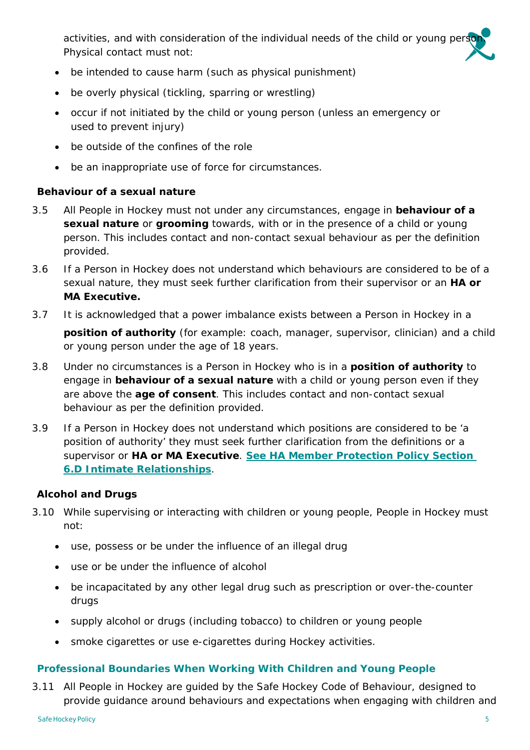activities, and with consideration of the individual needs of the child or young perso Physical contact must not:

- be intended to cause harm (such as physical punishment)
- be overly physical (tickling, sparring or wrestling)
- occur if not initiated by the child or young person (unless an emergency or used to prevent injury)
- be outside of the confines of the role
- be an inappropriate use of force for circumstances.

## **Behaviour of a sexual nature**

- 3.5 All People in Hockey must not under any circumstances, engage in **behaviour of a sexual nature** or **grooming** towards, with or in the presence of a child or young person. This includes contact and non-contact sexual behaviour as per the definition provided.
- 3.6 If a Person in Hockey does not understand which behaviours are considered to be of a sexual nature, they must seek further clarification from their supervisor or an **HA or MA Executive.**
- 3.7 It is acknowledged that a power imbalance exists between a Person in Hockey in a **position of authority** (for example: coach, manager, supervisor, clinician) and a child or young person under the age of 18 years.
- 3.8 Under no circumstances is a Person in Hockey who is in a **position of authority** to engage in **behaviour of a sexual nature** with a child or young person even if they are above the **age of consent**. This includes contact and non-contact sexual behaviour as per the definition provided.
- 3.9 If a Person in Hockey does not understand which positions are considered to be 'a position of authority' they must seek further clarification from the definitions or a supervisor or **HA or MA Executive**. **[See HA Member Protection Policy Section](http://www.hockey.org.au/Portals/2/2019/2019%20HA%20Member%20Protection%20Policy.pdf)  [6.D Intimate Relationships](http://www.hockey.org.au/Portals/2/2019/2019%20HA%20Member%20Protection%20Policy.pdf)**.

## **Alcohol and Drugs**

- 3.10 While supervising or interacting with children or young people, People in Hockey must not:
	- use, possess or be under the influence of an illegal drug
	- use or be under the influence of alcohol
	- be incapacitated by any other legal drug such as prescription or over-the-counter drugs
	- supply alcohol or drugs (including tobacco) to children or young people
	- smoke cigarettes or use e-cigarettes during Hockey activities.

## **Professional Boundaries When Working With Children and Young People**

3.11 All People in Hockey are guided by the Safe Hockey Code of Behaviour, designed to provide guidance around behaviours and expectations when engaging with children and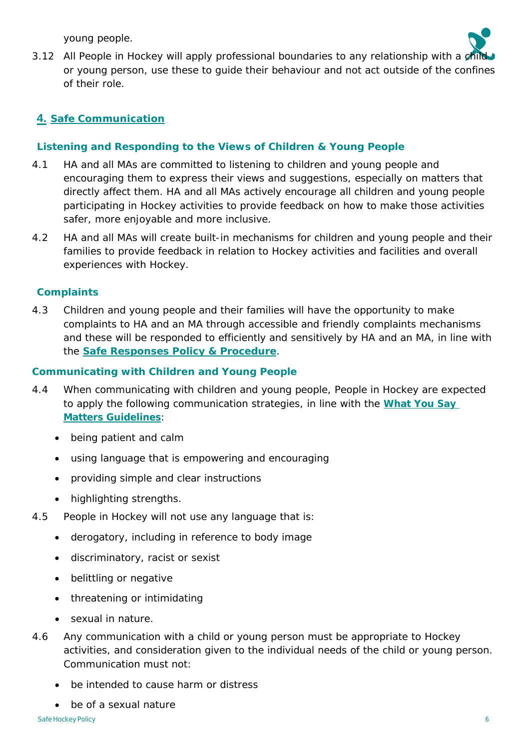young people.



# **4. Safe Communication**

## **Listening and Responding to the Views of Children & Young People**

- 4.1 HA and all MAs are committed to listening to children and young people and encouraging them to express their views and suggestions, especially on matters that directly affect them. HA and all MAs actively encourage all children and young people participating in Hockey activities to provide feedback on how to make those activities safer, more enjoyable and more inclusive.
- 4.2 HA and all MAs will create built-in mechanisms for children and young people and their families to provide feedback in relation to Hockey activities and facilities and overall experiences with Hockey.

## **Complaints**

4.3 Children and young people and their families will have the opportunity to make complaints to HA and an MA through accessible and friendly complaints mechanisms and these will be responded to efficiently and sensitively by HA and an MA, in line with the **[Safe Responses Policy & Procedure](file://192.168.1.12/Server/Strategy%20and%20Game%20Development/Safe%20Hockey%20Project/Safe%20Hockey%20Framework/PDF/1.3SafeResponses.pdf)**.

#### **Communicating with Children and Young People**

- 4.4 When communicating with children and young people, People in Hockey are expected to apply the following communication strategies, in line with the **[What You Say](https://cdn.revolutionise.com.au/cups/hockeyaus/files/qjsxenllenes8kr9.pdf)  [Matters Guidelines](https://cdn.revolutionise.com.au/cups/hockeyaus/files/qjsxenllenes8kr9.pdf)**:
	- being patient and calm
	- using language that is empowering and encouraging
	- providing simple and clear instructions
	- highlighting strengths.
- 4.5 People in Hockey will not use any language that is:
	- derogatory, including in reference to body image
	- discriminatory, racist or sexist
	- belittling or negative
	- threatening or intimidating
	- sexual in nature.
- 4.6 Any communication with a child or young person must be appropriate to Hockey activities, and consideration given to the individual needs of the child or young person. Communication must not:
	- be intended to cause harm or distress
	- be of a sexual nature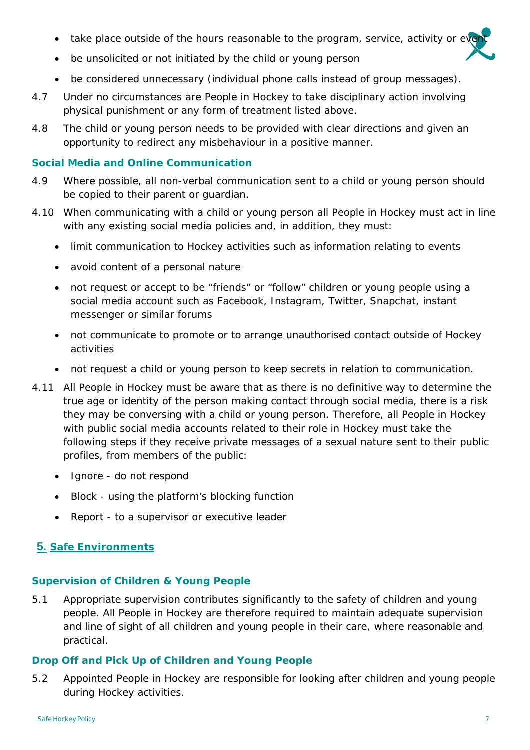- take place outside of the hours reasonable to the program, service, activity or eve
- be unsolicited or not initiated by the child or young person
- be considered unnecessary (individual phone calls instead of group messages).
- 4.7 Under no circumstances are People in Hockey to take disciplinary action involving physical punishment or any form of treatment listed above.
- 4.8 The child or young person needs to be provided with clear directions and given an opportunity to redirect any misbehaviour in a positive manner.

#### **Social Media and Online Communication**

- 4.9 Where possible, all non-verbal communication sent to a child or young person should be copied to their parent or guardian.
- 4.10 When communicating with a child or young person all People in Hockey must act in line with any existing social media policies and, in addition, they must:
	- limit communication to Hockey activities such as information relating to events
	- avoid content of a personal nature
	- not request or accept to be "friends" or "follow" children or young people using a social media account such as Facebook, Instagram, Twitter, Snapchat, instant messenger or similar forums
	- not communicate to promote or to arrange unauthorised contact outside of Hockey activities
	- not request a child or young person to keep secrets in relation to communication.
- 4.11 All People in Hockey must be aware that as there is no definitive way to determine the true age or identity of the person making contact through social media, there is a risk they may be conversing with a child or young person. Therefore, all People in Hockey with public social media accounts related to their role in Hockey must take the following steps if they receive private messages of a sexual nature sent to their public profiles, from members of the public:
	- Ignore do not respond
	- Block using the platform's blocking function
	- Report to a supervisor or executive leader

# **5. Safe Environments**

## **Supervision of Children & Young People**

5.1 Appropriate supervision contributes significantly to the safety of children and young people. All People in Hockey are therefore required to maintain adequate supervision and line of sight of all children and young people in their care, where reasonable and practical.

#### **Drop Off and Pick Up of Children and Young People**

5.2 Appointed People in Hockey are responsible for looking after children and young people during Hockey activities.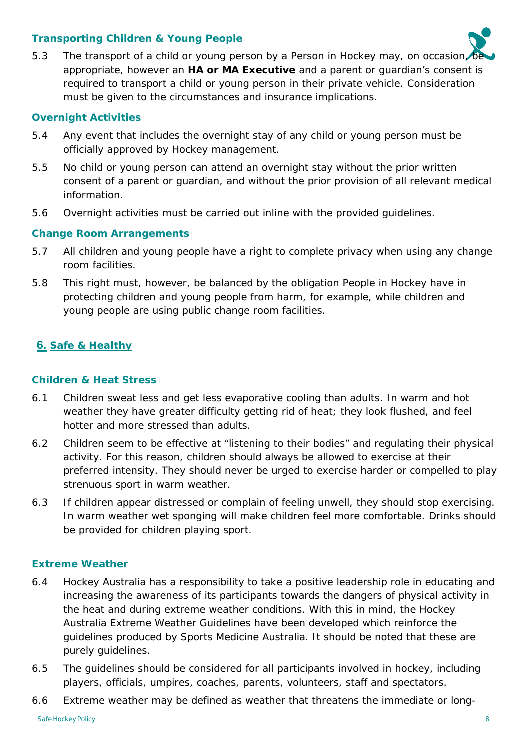## **Transporting Children & Young People**

5.3 The transport of a child or young person by a Person in Hockey may, on occasion appropriate, however an **HA or MA Executive** and a parent or guardian's consent is required to transport a child or young person in their private vehicle. Consideration must be given to the circumstances and insurance implications.

## **Overnight Activities**

- 5.4 Any event that includes the overnight stay of any child or young person must be officially approved by Hockey management.
- 5.5 No child or young person can attend an overnight stay without the prior written consent of a parent or guardian, and without the prior provision of all relevant medical information.
- 5.6 Overnight activities must be carried out inline with the provided guidelines.

## **Change Room Arrangements**

- 5.7 All children and young people have a right to complete privacy when using any change room facilities.
- 5.8 This right must, however, be balanced by the obligation People in Hockey have in protecting children and young people from harm, for example, while children and young people are using public change room facilities.

# **6. Safe & Healthy**

#### **Children & Heat Stress**

- 6.1 Children sweat less and get less evaporative cooling than adults. In warm and hot weather they have greater difficulty getting rid of heat; they look flushed, and feel hotter and more stressed than adults.
- 6.2 Children seem to be effective at "listening to their bodies" and regulating their physical activity. For this reason, children should always be allowed to exercise at their preferred intensity. They should never be urged to exercise harder or compelled to play strenuous sport in warm weather.
- 6.3 If children appear distressed or complain of feeling unwell, they should stop exercising. In warm weather wet sponging will make children feel more comfortable. Drinks should be provided for children playing sport.

#### **Extreme Weather**

- 6.4 Hockey Australia has a responsibility to take a positive leadership role in educating and increasing the awareness of its participants towards the dangers of physical activity in the heat and during extreme weather conditions. With this in mind, the [Hockey](https://hockey.org.au/wp-content/uploads/2019/10/HA-Extreme-Weather-Guidelines-Sept-2014.pdf)  [Australia Extreme Weather Guidelines](https://hockey.org.au/wp-content/uploads/2019/10/HA-Extreme-Weather-Guidelines-Sept-2014.pdf) have been developed which reinforce the guidelines produced by Sports Medicine Australia. It should be noted that these are purely guidelines.
- 6.5 The guidelines should be considered for all participants involved in hockey, including players, officials, umpires, coaches, parents, volunteers, staff and spectators.
- 6.6 Extreme weather may be defined as weather that threatens the immediate or long-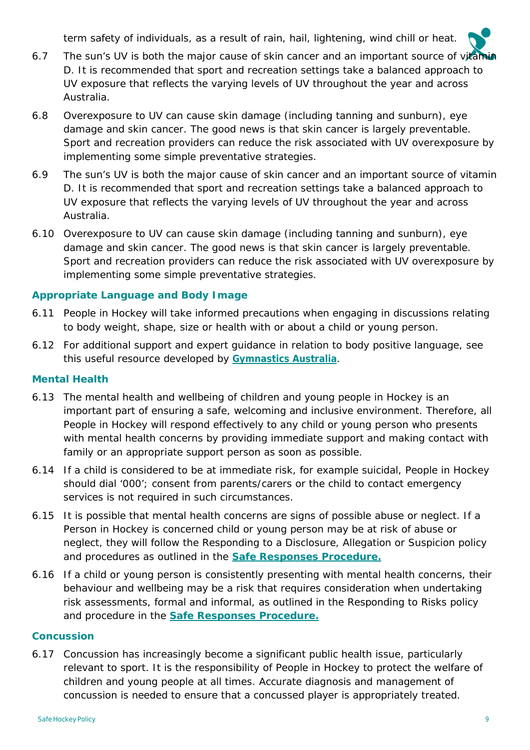term safety of individuals, as a result of rain, hail, lightening, wind chill or heat.

- 6.7 The sun's UV is both the major cause of skin cancer and an important source of vitamin D. It is recommended that sport and recreation settings take a balanced approach to UV exposure that reflects the varying levels of UV throughout the year and across Australia.
- 6.8 Overexposure to UV can cause skin damage (including tanning and sunburn), eye damage and skin cancer. The good news is that skin cancer is largely preventable. Sport and recreation providers can reduce the risk associated with UV overexposure by implementing some simple preventative strategies.
- 6.9 The sun's UV is both the major cause of skin cancer and an important source of vitamin D. It is recommended that sport and recreation settings take a balanced approach to UV exposure that reflects the varying levels of UV throughout the year and across Australia.
- 6.10 Overexposure to UV can cause skin damage (including tanning and sunburn), eye damage and skin cancer. The good news is that skin cancer is largely preventable. Sport and recreation providers can reduce the risk associated with UV overexposure by implementing some simple preventative strategies.

## **Appropriate Language and Body Image**

- 6.11 People in Hockey will take informed precautions when engaging in discussions relating to body weight, shape, size or health with or about a child or young person.
- 6.12 For additional support and expert guidance in relation to body positive language, see this useful resource developed by **[Gymnastics Australia](https://www.gymnastics.org.au/Ga/Athletes/Body_Positive.aspx)**.

## **Mental Health**

- 6.13 The mental health and wellbeing of children and young people in Hockey is an important part of ensuring a safe, welcoming and inclusive environment. Therefore, all People in Hockey will respond effectively to any child or young person who presents with mental health concerns by providing immediate support and making contact with family or an appropriate support person as soon as possible.
- 6.14 If a child is considered to be at immediate risk, for example suicidal, People in Hockey should dial '000'; consent from parents/carers or the child to contact emergency services is not required in such circumstances.
- 6.15 It is possible that mental health concerns are signs of possible abuse or neglect. If a Person in Hockey is concerned child or young person may be at risk of abuse or neglect, they will follow the Responding to a Disclosure, Allegation or Suspicion policy and procedures as outlined in the **[Safe Responses Procedure.](file://192.168.1.12/Server/Strategy%20and%20Game%20Development/Safe%20Hockey%20Project/Safe%20Hockey%20Framework/PDF/1.3SafeResponses.pdf)**
- 6.16 If a child or young person is consistently presenting with mental health concerns, their behaviour and wellbeing may be a risk that requires consideration when undertaking risk assessments, formal and informal, as outlined in the Responding to Risks policy and procedure in the **[Safe Responses Procedure.](file://192.168.1.12/Server/Strategy%20and%20Game%20Development/Safe%20Hockey%20Project/Safe%20Hockey%20Framework/PDF/1.3SafeResponses.pdf)**

#### **Concussion**

6.17 Concussion has increasingly become a significant public health issue, particularly relevant to sport. It is the responsibility of People in Hockey to protect the welfare of children and young people at all times. Accurate diagnosis and management of concussion is needed to ensure that a concussed player is appropriately treated.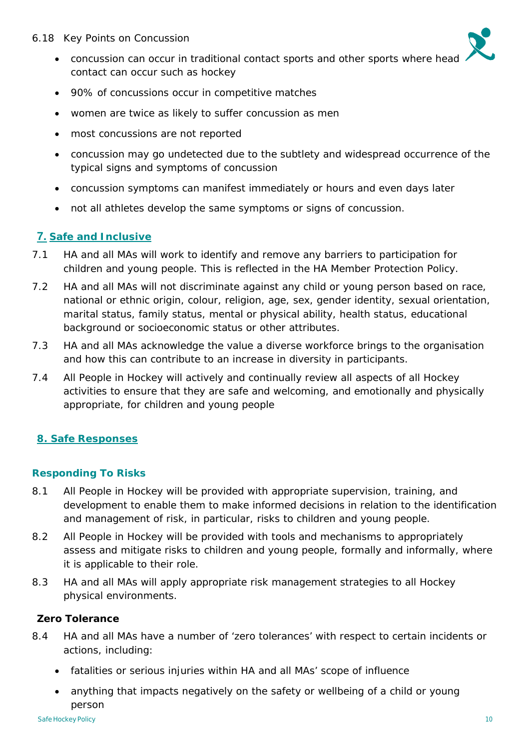- 6.18 Key Points on Concussion
	- concussion can occur in traditional contact sports and other sports where head contact can occur such as hockey
	- 90% of concussions occur in competitive matches
	- women are twice as likely to suffer concussion as men
	- most concussions are not reported
	- concussion may go undetected due to the subtlety and widespread occurrence of the typical signs and symptoms of concussion
	- concussion symptoms can manifest immediately or hours and even days later
	- not all athletes develop the same symptoms or signs of concussion.

# **7. Safe and Inclusive**

- 7.1 HA and all MAs will work to identify and remove any barriers to participation for children and young people. This is reflected in the [HA Member Protection Policy.](http://www.hockey.org.au/Portals/2/2019/2019%20HA%20Member%20Protection%20Policy.pdf)
- 7.2 HA and all MAs will not discriminate against any child or young person based on race, national or ethnic origin, colour, religion, age, sex, gender identity, sexual orientation, marital status, family status, mental or physical ability, health status, educational background or socioeconomic status or other attributes.
- 7.3 HA and all MAs acknowledge the value a diverse workforce brings to the organisation and how this can contribute to an increase in diversity in participants.
- 7.4 All People in Hockey will actively and continually review all aspects of all Hockey activities to ensure that they are safe and welcoming, and emotionally and physically appropriate, for children and young people

## **8. Safe Responses**

## **Responding To Risks**

- 8.1 All People in Hockey will be provided with appropriate supervision, training, and development to enable them to make informed decisions in relation to the identification and management of risk, in particular, risks to children and young people.
- 8.2 All People in Hockey will be provided with tools and mechanisms to appropriately assess and mitigate risks to children and young people, formally and informally, where it is applicable to their role.
- 8.3 HA and all MAs will apply appropriate risk management strategies to all Hockey physical environments.

## **Zero Tolerance**

- 8.4 HA and all MAs have a number of 'zero tolerances' with respect to certain incidents or actions, including:
	- fatalities or serious injuries within HA and all MAs' scope of influence
	- anything that impacts negatively on the safety or wellbeing of a child or young person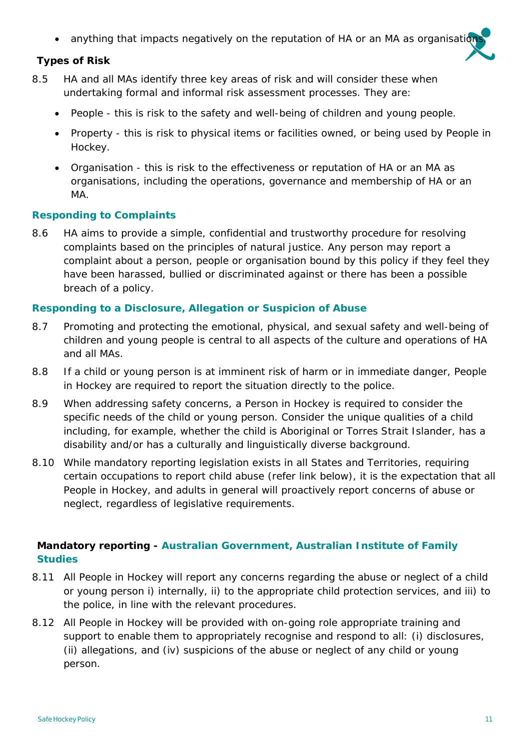• anything that impacts negatively on the reputation of HA or an MA as organisation

#### **Types of Risk**

- 8.5 HA and all MAs identify three key areas of risk and will consider these when undertaking formal and informal risk assessment processes. They are:
	- People this is risk to the safety and well-being of children and young people.
	- Property this is risk to physical items or facilities owned, or being used by People in Hockey.
	- Organisation this is risk to the effectiveness or reputation of HA or an MA as organisations, including the operations, governance and membership of HA or an MA.

#### **Responding to Complaints**

8.6 HA aims to provide a simple, confidential and trustworthy procedure for resolving complaints based on the principles of natural justice. Any person may report a complaint about a person, people or organisation bound by this policy if they feel they have been harassed, bullied or discriminated against or there has been a possible breach of a policy.

#### **Responding to a Disclosure, Allegation or Suspicion of Abuse**

- 8.7 Promoting and protecting the emotional, physical, and sexual safety and well-being of children and young people is central to all aspects of the culture and operations of HA and all MAs.
- 8.8 If a child or young person is at imminent risk of harm or in immediate danger, People in Hockey are required to report the situation directly to the police.
- 8.9 When addressing safety concerns, a Person in Hockey is required to consider the specific needs of the child or young person. Consider the unique qualities of a child including, for example, whether the child is Aboriginal or Torres Strait Islander, has a disability and/or has a culturally and linguistically diverse background.
- 8.10 While mandatory reporting legislation exists in all States and Territories, requiring certain occupations to report child abuse (refer link below), it is the expectation that all People in Hockey, and adults in general will proactively report concerns of abuse or neglect, regardless of legislative requirements.

# **Mandatory reporting - [Australian Government, Australian Institute of Family](https://aifs.gov.au/cfca/publications/mandatory-reporting-child-abuse-and-neglect)  [Studies](https://aifs.gov.au/cfca/publications/mandatory-reporting-child-abuse-and-neglect)**

- 8.11 All People in Hockey will report any concerns regarding the abuse or neglect of a child or young person i) internally, ii) to the appropriate child protection services, and iii) to the police, in line with the relevant procedures.
- 8.12 All People in Hockey will be provided with on-going role appropriate training and support to enable them to appropriately recognise and respond to all: (i) disclosures, (ii) allegations, and (iv) suspicions of the abuse or neglect of any child or young person.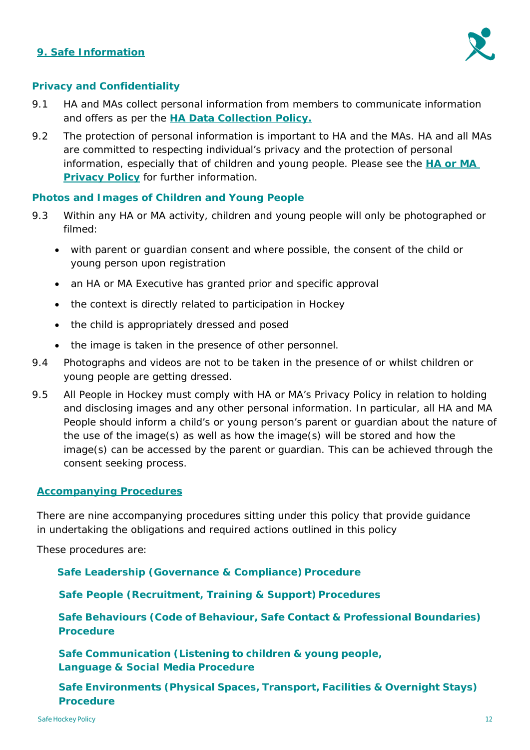## **9. Safe Information**



#### **Privacy and Confidentiality**

- 9.1 HA and MAs collect personal information from members to communicate information and offers as per the **[HA Data Collection Policy.](https://cdn.revolutionise.com.au/cups/hockeyaus/files/mxumitxsqtr6obr9.pdf)**
- 9.2 The protection of personal information is important to HA and the MAs. HA and all MAs are committed to respecting individual's privacy and the protection of personal information, especially that of children and young people. Please see the **[HA or MA](https://cdn.revolutionise.com.au/cups/hockeyaus/files/mbro3w9dfklwalxs.pdf)  [Privacy Policy](https://cdn.revolutionise.com.au/cups/hockeyaus/files/mbro3w9dfklwalxs.pdf)** for further information.

#### **Photos and Images of Children and Young People**

- 9.3 Within any HA or MA activity, children and young people will only be photographed or filmed:
	- with parent or guardian consent and where possible, the consent of the child or young person upon registration
	- an HA or MA Executive has granted prior and specific approval
	- the context is directly related to participation in Hockey
	- the child is appropriately dressed and posed
	- the image is taken in the presence of other personnel.
- 9.4 Photographs and videos are not to be taken in the presence of or whilst children or young people are getting dressed.
- 9.5 All People in Hockey must comply with [HA or MA's Privacy Policy i](http://hockey.org.au/Portals/2/HockeyNet/HockeyAustraliaPrivacyPolicy.pdf)n relation to holding and disclosing images and any other personal information. In particular, all HA and MA People should inform a child's or young person's parent or guardian about the nature of the use of the image(s) as well as how the image(s) will be stored and how the image(s) can be accessed by the parent or guardian. This can be achieved through the consent seeking process.

#### **Accompanying Procedures**

There are nine accompanying procedures sitting under this policy that provide guidance in undertaking the obligations and required actions outlined in this policy

These procedures are:

**Safe Leadership (Governance & Compliance) Procedure**

**Safe People (Recruitment, Training & Support) Procedures** 

**Safe Behaviours (Code of Behaviour, Safe Contact & Professional Boundaries) Procedure**

**Safe Communication (Listening to children & young people, Language & Social Media Procedure**

**Safe Environments (Physical Spaces, Transport, Facilities & Overnight Stays) Procedure**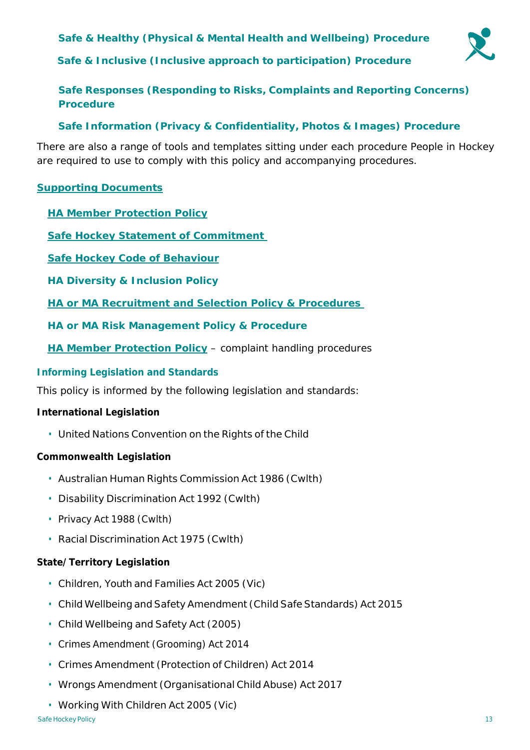**Safe & Healthy (Physical & Mental Health and Wellbeing) Procedure**

**Safe & Inclusive (Inclusive approach to participation) Procedure**



**Safe Responses (Responding to Risks, Complaints and Reporting Concerns) Procedure**

## **Safe Information (Privacy & Confidentiality, Photos & Images) Procedure**

There are also a range of tools and templates sitting under each procedure People in Hockey are required to use to comply with this policy and accompanying procedures.

## **Supporting Documents**

**[HA Member Protection Policy](https://cdn.revolutionise.com.au/cups/hockeyaus/files/exjdsdq1vcegh5eu.pdf)**

**[Safe Hockey Statement of Commitment](https://cdn.revolutionise.com.au/cups/hockeyaus/files/gyiubyolcmtp6ba9.pdf)**

**[Safe Hockey Code](https://cdn.revolutionise.com.au/cups/hockeyaus/files/thyajqoten6vc6pj.pdf) of Behaviour**

**HA Diversity & Inclusion Policy**

**[HA or MA Recruitment and Selection Policy & Procedures](https://cdn.revolutionise.com.au/cups/hockeyaus/files/sa8bcobqmhpw9sfy.pdf)**

- **HA or MA Risk Management Policy & Procedure**
- **[HA Member Protection Policy](https://cdn.revolutionise.com.au/cups/hockeyaus/files/exjdsdq1vcegh5eu.pdf)** complaint handling procedures

## **Informing Legislation and Standards**

This policy is informed by the following legislation and standards:

## **International Legislation**

• United Nations Convention on the Rights of the Child

## **Commonwealth Legislation**

- Australian Human Rights Commission Act 1986 (Cwlth)
- Disability Discrimination Act 1992 (Cwlth)
- Privacy Act 1988 (Cwlth)
- Racial Discrimination Act 1975 (Cwlth)

## **State/Territory Legislation**

- Children, Youth and Families Act 2005 (Vic)
- Child Wellbeing and Safety Amendment (Child Safe Standards) Act 2015
- Child Wellbeing and Safety Act (2005)
- Crimes Amendment (Grooming) Act 2014
- Crimes Amendment (Protection of Children) Act 2014
- Wrongs Amendment (Organisational Child Abuse) Act 2017
- Working With Children Act 2005 (Vic)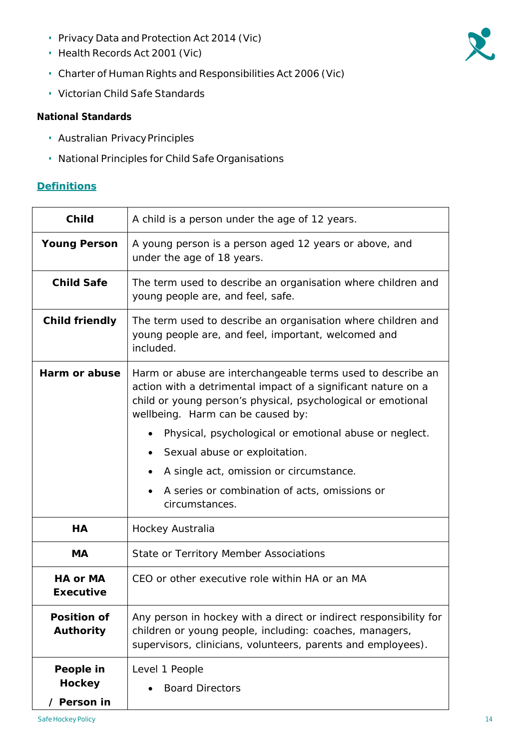- Privacy Data and Protection Act 2014 (Vic)
- Health Records Act 2001 (Vic)
- Charter of Human Rights and Responsibilities Act 2006 (Vic)
- Victorian Child Safe Standards

## **National Standards**

- Australian PrivacyPrinciples
- National Principles for Child Safe Organisations

#### <span id="page-13-0"></span>**Definitions**

| <b>Child</b>                              | A child is a person under the age of 12 years.                                                                                                                                                                                    |
|-------------------------------------------|-----------------------------------------------------------------------------------------------------------------------------------------------------------------------------------------------------------------------------------|
| <b>Young Person</b>                       | A young person is a person aged 12 years or above, and<br>under the age of 18 years.                                                                                                                                              |
| <b>Child Safe</b>                         | The term used to describe an organisation where children and<br>young people are, and feel, safe.                                                                                                                                 |
| <b>Child friendly</b>                     | The term used to describe an organisation where children and<br>young people are, and feel, important, welcomed and<br>included.                                                                                                  |
| Harm or abuse                             | Harm or abuse are interchangeable terms used to describe an<br>action with a detrimental impact of a significant nature on a<br>child or young person's physical, psychological or emotional<br>wellbeing. Harm can be caused by: |
|                                           | Physical, psychological or emotional abuse or neglect.                                                                                                                                                                            |
|                                           | Sexual abuse or exploitation.                                                                                                                                                                                                     |
|                                           | A single act, omission or circumstance.                                                                                                                                                                                           |
|                                           | A series or combination of acts, omissions or<br>circumstances.                                                                                                                                                                   |
| HA                                        | Hockey Australia                                                                                                                                                                                                                  |
| <b>MA</b>                                 | State or Territory Member Associations                                                                                                                                                                                            |
| <b>HA or MA</b><br><b>Executive</b>       | CEO or other executive role within HA or an MA                                                                                                                                                                                    |
| <b>Position of</b><br><b>Authority</b>    | Any person in hockey with a direct or indirect responsibility for<br>children or young people, including: coaches, managers,<br>supervisors, clinicians, volunteers, parents and employees).                                      |
| People in<br><b>Hockey</b><br>/ Person in | Level 1 People<br><b>Board Directors</b>                                                                                                                                                                                          |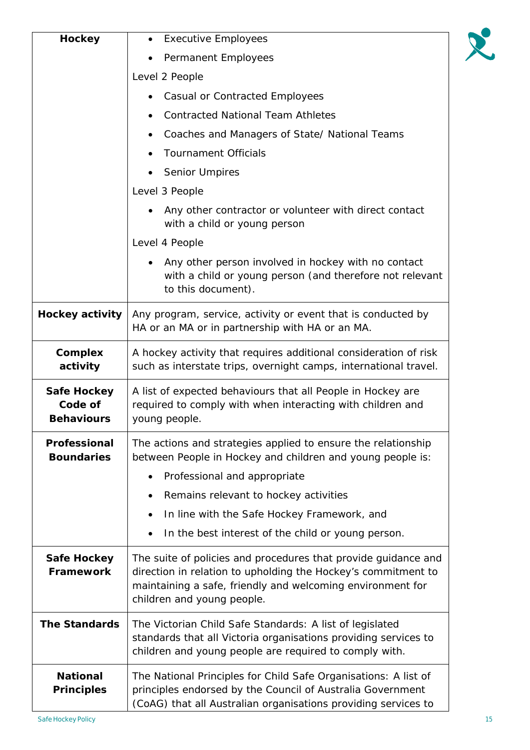| <b>Hockey</b>                                      | <b>Executive Employees</b><br>Permanent Employees<br>Level 2 People                                                                                                                                                         |  |
|----------------------------------------------------|-----------------------------------------------------------------------------------------------------------------------------------------------------------------------------------------------------------------------------|--|
|                                                    |                                                                                                                                                                                                                             |  |
|                                                    |                                                                                                                                                                                                                             |  |
|                                                    | Casual or Contracted Employees                                                                                                                                                                                              |  |
|                                                    | <b>Contracted National Team Athletes</b><br>Coaches and Managers of State/ National Teams<br><b>Tournament Officials</b><br><b>Senior Umpires</b>                                                                           |  |
|                                                    |                                                                                                                                                                                                                             |  |
|                                                    |                                                                                                                                                                                                                             |  |
|                                                    |                                                                                                                                                                                                                             |  |
|                                                    | Level 3 People                                                                                                                                                                                                              |  |
|                                                    | Any other contractor or volunteer with direct contact<br>with a child or young person                                                                                                                                       |  |
|                                                    | Level 4 People                                                                                                                                                                                                              |  |
|                                                    | Any other person involved in hockey with no contact<br>with a child or young person (and therefore not relevant<br>to this document).                                                                                       |  |
| <b>Hockey activity</b>                             | Any program, service, activity or event that is conducted by<br>HA or an MA or in partnership with HA or an MA.                                                                                                             |  |
| <b>Complex</b><br>activity                         | A hockey activity that requires additional consideration of risk<br>such as interstate trips, overnight camps, international travel.                                                                                        |  |
| <b>Safe Hockey</b><br>Code of<br><b>Behaviours</b> | A list of expected behaviours that all People in Hockey are<br>required to comply with when interacting with children and<br>young people.                                                                                  |  |
| Professional<br><b>Boundaries</b>                  | The actions and strategies applied to ensure the relationship<br>between People in Hockey and children and young people is:                                                                                                 |  |
|                                                    | Professional and appropriate<br>$\bullet$                                                                                                                                                                                   |  |
|                                                    | Remains relevant to hockey activities<br>$\bullet$                                                                                                                                                                          |  |
|                                                    | In line with the Safe Hockey Framework, and                                                                                                                                                                                 |  |
|                                                    | In the best interest of the child or young person.                                                                                                                                                                          |  |
| <b>Safe Hockey</b><br>Framework                    | The suite of policies and procedures that provide guidance and<br>direction in relation to upholding the Hockey's commitment to<br>maintaining a safe, friendly and welcoming environment for<br>children and young people. |  |
| <b>The Standards</b>                               | The Victorian Child Safe Standards: A list of legislated<br>standards that all Victoria organisations providing services to<br>children and young people are required to comply with.                                       |  |
| <b>National</b><br><b>Principles</b>               | The National Principles for Child Safe Organisations: A list of<br>principles endorsed by the Council of Australia Government<br>(CoAG) that all Australian organisations providing services to                             |  |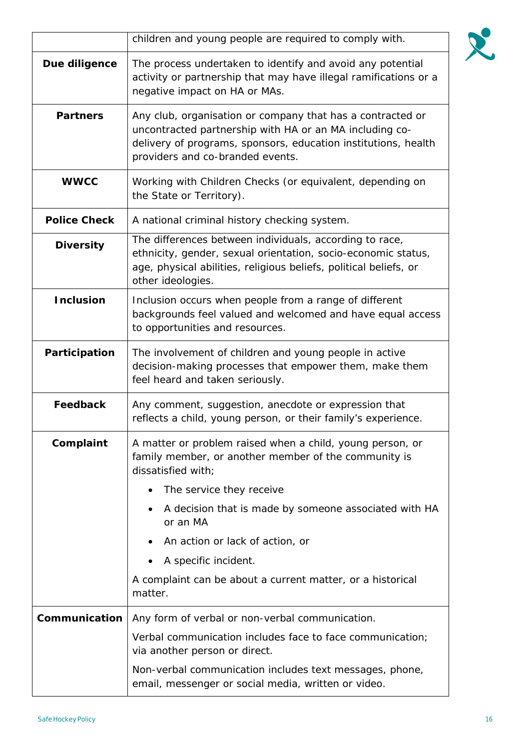|                     | children and young people are required to comply with.                                                                                                                                                                      |  |
|---------------------|-----------------------------------------------------------------------------------------------------------------------------------------------------------------------------------------------------------------------------|--|
| Due diligence       | The process undertaken to identify and avoid any potential<br>activity or partnership that may have illegal ramifications or a<br>negative impact on HA or MAs.                                                             |  |
| <b>Partners</b>     | Any club, organisation or company that has a contracted or<br>uncontracted partnership with HA or an MA including co-<br>delivery of programs, sponsors, education institutions, health<br>providers and co-branded events. |  |
| <b>WWCC</b>         | Working with Children Checks (or equivalent, depending on<br>the State or Territory).                                                                                                                                       |  |
| <b>Police Check</b> | A national criminal history checking system.                                                                                                                                                                                |  |
| <b>Diversity</b>    | The differences between individuals, according to race,<br>ethnicity, gender, sexual orientation, socio-economic status,<br>age, physical abilities, religious beliefs, political beliefs, or<br>other ideologies.          |  |
| <b>Inclusion</b>    | Inclusion occurs when people from a range of different<br>backgrounds feel valued and welcomed and have equal access<br>to opportunities and resources.                                                                     |  |
| Participation       | The involvement of children and young people in active<br>decision-making processes that empower them, make them<br>feel heard and taken seriously.                                                                         |  |
| <b>Feedback</b>     | Any comment, suggestion, anecdote or expression that<br>reflects a child, young person, or their family's experience.                                                                                                       |  |
| Complaint           | A matter or problem raised when a child, young person, or<br>family member, or another member of the community is<br>dissatisfied with;                                                                                     |  |
|                     | The service they receive                                                                                                                                                                                                    |  |
|                     | A decision that is made by someone associated with HA<br>or an MA                                                                                                                                                           |  |
|                     | An action or lack of action, or                                                                                                                                                                                             |  |
|                     | A specific incident.                                                                                                                                                                                                        |  |
|                     | A complaint can be about a current matter, or a historical<br>matter.                                                                                                                                                       |  |
| Communication       | Any form of verbal or non-verbal communication.                                                                                                                                                                             |  |
|                     | Verbal communication includes face to face communication;<br>via another person or direct.                                                                                                                                  |  |
|                     | Non-verbal communication includes text messages, phone,<br>email, messenger or social media, written or video.                                                                                                              |  |

R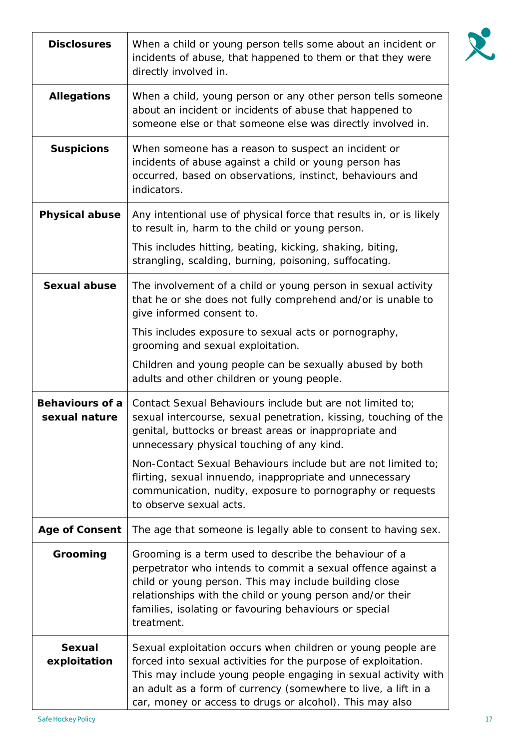| <b>Disclosures</b>                      | When a child or young person tells some about an incident or<br>incidents of abuse, that happened to them or that they were<br>directly involved in.                                                                                                                                                                           |
|-----------------------------------------|--------------------------------------------------------------------------------------------------------------------------------------------------------------------------------------------------------------------------------------------------------------------------------------------------------------------------------|
| <b>Allegations</b>                      | When a child, young person or any other person tells someone<br>about an incident or incidents of abuse that happened to<br>someone else or that someone else was directly involved in.                                                                                                                                        |
| <b>Suspicions</b>                       | When someone has a reason to suspect an incident or<br>incidents of abuse against a child or young person has<br>occurred, based on observations, instinct, behaviours and<br>indicators.                                                                                                                                      |
| <b>Physical abuse</b>                   | Any intentional use of physical force that results in, or is likely<br>to result in, harm to the child or young person.                                                                                                                                                                                                        |
|                                         | This includes hitting, beating, kicking, shaking, biting,<br>strangling, scalding, burning, poisoning, suffocating.                                                                                                                                                                                                            |
| <b>Sexual abuse</b>                     | The involvement of a child or young person in sexual activity<br>that he or she does not fully comprehend and/or is unable to<br>give informed consent to.                                                                                                                                                                     |
|                                         | This includes exposure to sexual acts or pornography,<br>grooming and sexual exploitation.                                                                                                                                                                                                                                     |
|                                         | Children and young people can be sexually abused by both<br>adults and other children or young people.                                                                                                                                                                                                                         |
| <b>Behaviours of a</b><br>sexual nature | Contact Sexual Behaviours include but are not limited to;<br>sexual intercourse, sexual penetration, kissing, touching of the<br>genital, buttocks or breast areas or inappropriate and<br>unnecessary physical touching of any kind.                                                                                          |
|                                         | Non-Contact Sexual Behaviours include but are not limited to;<br>flirting, sexual innuendo, inappropriate and unnecessary<br>communication, nudity, exposure to pornography or requests<br>to observe sexual acts.                                                                                                             |
| <b>Age of Consent</b>                   | The age that someone is legally able to consent to having sex.                                                                                                                                                                                                                                                                 |
| Grooming                                | Grooming is a term used to describe the behaviour of a<br>perpetrator who intends to commit a sexual offence against a<br>child or young person. This may include building close<br>relationships with the child or young person and/or their<br>families, isolating or favouring behaviours or special<br>treatment.          |
| <b>Sexual</b><br>exploitation           | Sexual exploitation occurs when children or young people are<br>forced into sexual activities for the purpose of exploitation.<br>This may include young people engaging in sexual activity with<br>an adult as a form of currency (somewhere to live, a lift in a<br>car, money or access to drugs or alcohol). This may also |

R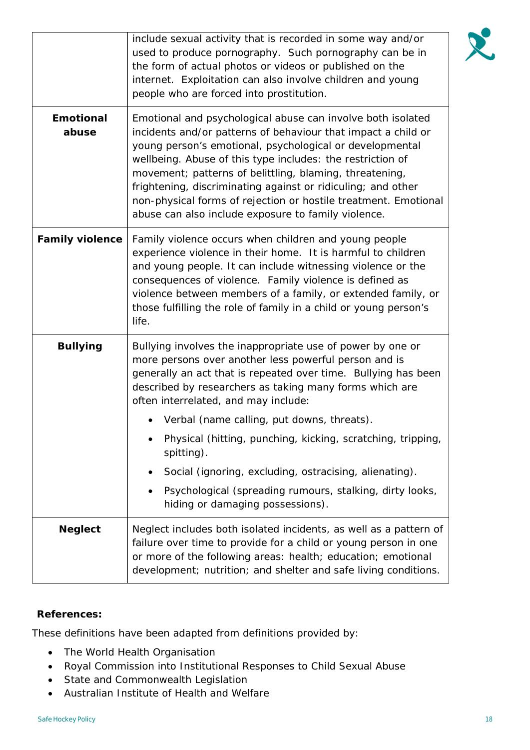|                           | include sexual activity that is recorded in some way and/or<br>used to produce pornography. Such pornography can be in<br>the form of actual photos or videos or published on the<br>internet. Exploitation can also involve children and young<br>people who are forced into prostitution.                                                                                                                                                                                                                                                                                   |
|---------------------------|-------------------------------------------------------------------------------------------------------------------------------------------------------------------------------------------------------------------------------------------------------------------------------------------------------------------------------------------------------------------------------------------------------------------------------------------------------------------------------------------------------------------------------------------------------------------------------|
| <b>Emotional</b><br>abuse | Emotional and psychological abuse can involve both isolated<br>incidents and/or patterns of behaviour that impact a child or<br>young person's emotional, psychological or developmental<br>wellbeing. Abuse of this type includes: the restriction of<br>movement; patterns of belittling, blaming, threatening,<br>frightening, discriminating against or ridiculing; and other<br>non-physical forms of rejection or hostile treatment. Emotional<br>abuse can also include exposure to family violence.                                                                   |
| <b>Family violence</b>    | Family violence occurs when children and young people<br>experience violence in their home. It is harmful to children<br>and young people. It can include witnessing violence or the<br>consequences of violence. Family violence is defined as<br>violence between members of a family, or extended family, or<br>those fulfilling the role of family in a child or young person's<br>life.                                                                                                                                                                                  |
| <b>Bullying</b>           | Bullying involves the inappropriate use of power by one or<br>more persons over another less powerful person and is<br>generally an act that is repeated over time. Bullying has been<br>described by researchers as taking many forms which are<br>often interrelated, and may include:<br>Verbal (name calling, put downs, threats).<br>Physical (hitting, punching, kicking, scratching, tripping,<br>spitting).<br>Social (ignoring, excluding, ostracising, alienating).<br>Psychological (spreading rumours, stalking, dirty looks,<br>hiding or damaging possessions). |
| <b>Neglect</b>            | Neglect includes both isolated incidents, as well as a pattern of<br>failure over time to provide for a child or young person in one<br>or more of the following areas: health; education; emotional<br>development; nutrition; and shelter and safe living conditions.                                                                                                                                                                                                                                                                                                       |

## **References:**

These definitions have been adapted from definitions provided by:

- The World Health Organisation
- Royal Commission into Institutional Responses to Child Sexual Abuse
- State and Commonwealth Legislation
- Australian Institute of Health and Welfare